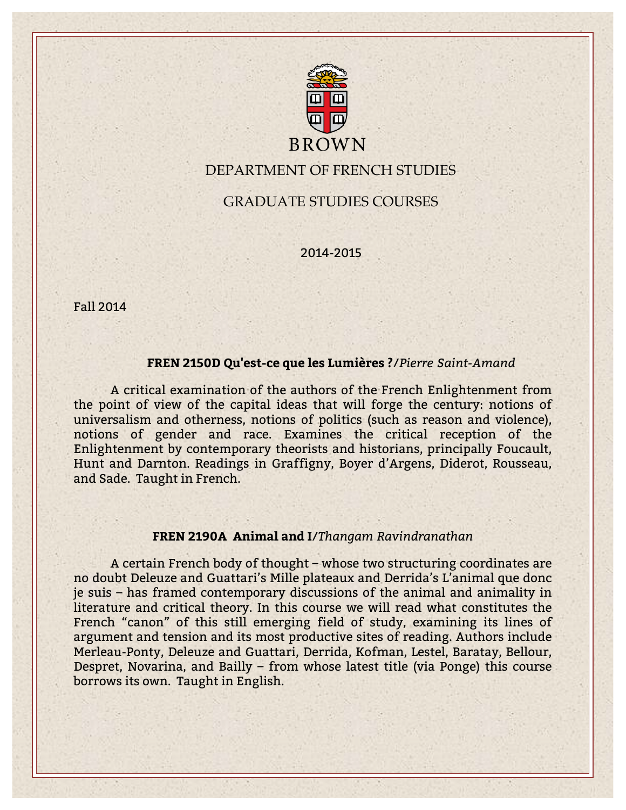

# DEPARTMENT OF FRENCH STUDIES

GRADUATE STUDIES COURSES

2014-2015

Fall 2014

### **FREN 2150D Qu'est-ce que les Lumières ?**/*Pierre Saint-Amand*

A critical examination of the authors of the French Enlightenment from the point of view of the capital ideas that will forge the century: notions of universalism and otherness, notions of politics (such as reason and violence), notions of gender and race. Examines the critical reception of the Enlightenment by contemporary theorists and historians, principally Foucault, Hunt and Darnton. Readings in Graffigny, Boyer d'Argens, Diderot, Rousseau, and Sade. Taught in French.

### **FREN 2190A Animal and I**/*Thangam Ravindranathan*

A certain French body of thought – whose two structuring coordinates are no doubt Deleuze and Guattari's Mille plateaux and Derrida's L'animal que donc je suis – has framed contemporary discussions of the animal and animality in literature and critical theory. In this course we will read what constitutes the French "canon" of this still emerging field of study, examining its lines of argument and tension and its most productive sites of reading. Authors include Merleau-Ponty, Deleuze and Guattari, Derrida, Kofman, Lestel, Baratay, Bellour, Despret, Novarina, and Bailly – from whose latest title (via Ponge) this course borrows its own. Taught in English.